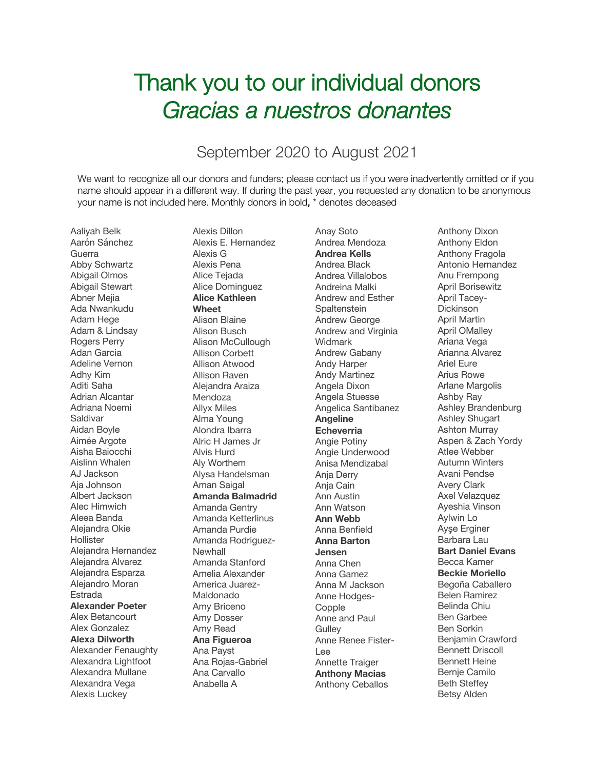## Thank you to our individual donors *Gracias a nuestros donantes*

## September 2020 to August 2021

We want to recognize all our donors and funders; please contact us if you were inadvertently omitted or if you name should appear in a different way. If during the past year, you requested any donation to be anonymous your name is not included here. Monthly donors in bold, \* denotes deceased

Aaliyah Belk Aarón Sánchez Guerra Abby Schwartz Abigail Olmos Abigail Stewart Abner Mejia Ada Nwankudu Adam Hege Adam & Lindsay Rogers Perry Adan Garcia Adeline Vernon Adhy Kim Aditi Saha Adrian Alcantar Adriana Noemi Saldivar Aidan Boyle Aimée Argote Aisha Baiocchi Aislinn Whalen AJ Jackson Aja Johnson Albert Jackson Alec Himwich Aleea Banda Alejandra Okie **Hollister** Alejandra Hernandez Alejandra Alvarez Alejandra Esparza Alejandro Moran Estrada **Alexander Poeter** Alex Betancourt Alex Gonzalez **Alexa Dilworth** Alexander Fenaughty Alexandra Lightfoot Alexandra Mullane Alexandra Vega Alexis Luckey

Alexis Dillon Alexis E. Hernandez Alexis G Alexis Pena Alice Tejada Alice Dominguez **Alice Kathleen Wheet** Alison Blaine Alison Busch Alison McCullough Allison Corbett Allison Atwood Allison Raven Alejandra Araiza **Mendoza** Allyx Miles Alma Young Alondra Ibarra Alric H James Jr Alvis Hurd Aly Worthem Alysa Handelsman Aman Saigal **Amanda Balmadrid** Amanda Gentry Amanda Ketterlinus Amanda Purdie Amanda Rodriguez-Newhall Amanda Stanford Amelia Alexander America Juarez-Maldonado Amy Briceno Amy Dosser Amy Read **Ana Figueroa** Ana Payst Ana Rojas-Gabriel Ana Carvallo Anabella A

Anay Soto Andrea Mendoza **Andrea Kells** Andrea Black Andrea Villalobos Andreina Malki Andrew and Esther **Spaltenstein** Andrew George Andrew and Virginia Widmark Andrew Gabany Andy Harper Andy Martinez Angela Dixon Angela Stuesse Angelica Santibanez **Angeline Echeverria** Angie Potiny Angie Underwood Anisa Mendizabal Anja Derry Anja Cain Ann Austin Ann Watson **Ann Webb** Anna Benfield **Anna Barton Jensen** Anna Chen Anna Gamez Anna M Jackson Anne Hodges-**Copple** Anne and Paul **Gulley** Anne Renee Fister-Lee Annette Traiger **Anthony Macias** Anthony Ceballos

Anthony Dixon Anthony Eldon Anthony Fragola Antonio Hernandez Anu Frempong April Borisewitz April Tacey-Dickinson April Martin April OMalley Ariana Vega Arianna Alvarez Ariel Eure Arius Rowe Arlane Margolis Ashby Ray Ashley Brandenburg Ashley Shugart Ashton Murray Aspen & Zach Yordy Atlee Webber Autumn Winters Avani Pendse Avery Clark Axel Velazquez Ayeshia Vinson Aylwin Lo Ayşe Erginer Barbara Lau **Bart Daniel Evans** Becca Kamer **Beckie Moriello** Begoña Caballero Belen Ramirez Belinda Chiu Ben Garbee Ben Sorkin Benjamin Crawford Bennett Driscoll Bennett Heine Bernje Camilo Beth Steffey Betsy Alden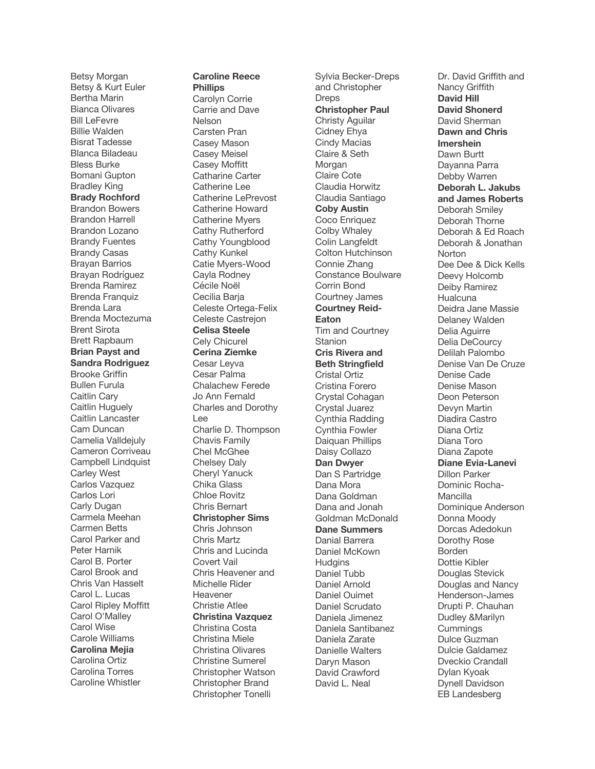Betsy Morgan Betsy & Kurt Euler Bertha Marin Bianca Olivares Bill LeFevre Billie Walden Bisrat Tadesse Blanca Biladeau Bless Burke Bomani Gupton Bradley King **Brady Rochford** Brandon Bowers Brandon Harrell Brandon Lozano Brandy Fuentes Brandy Casas Brayan Barrios Brayan Rodríguez Brenda Ramirez Brenda Franquiz Brenda Lara Brenda Moctezuma Brent Sirota Brett Rapbaum **Brian Payst and Sandra Rodriguez** Brooke Griffin Bullen Furula Caitlin Cary Caitlin Huguely Caitlin Lancaster Cam Duncan Camelia Valldejuly Cameron Corriveau Campbell Lindquist Carley West Carlos Vazquez Carlos Lori Carly Dugan Carmela Meehan Carmen Betts Carol Parker and Peter Harnik Carol B. Porter Carol Brook and Chris Van Hasselt Carol L. Lucas Carol Ripley Moffitt Carol O'Malley Carol Wise Carole Williams **Carolina Mejia** Carolina Ortiz Carolina Torres Caroline Whistler

## **Caroline Reece**

**Phillips** Carolyn Corrie Carrie and Dave Nelson Carsten Pran Casey Mason Casey Meisel Casey Moffitt Catharine Carter Catherine Lee Catherine LePrevost Catherine Howard Catherine Myers Cathy Rutherford Cathy Youngblood Cathy Kunkel Catie Myers -Wood Cayla Rodney Cécile Noël Cecilia Baria Celeste Ortega -Felix Celeste Castrejon **Celisa Steele** Cely Chicurel **Cerina Ziemke** Cesar Leyva Cesar Palma Chalachew Ferede Jo Ann Fernald Charles and Dorothy Lee Charlie D. Thompson Chavis Family Chel McGhee Chelsey Daly Cheryl Yanuck Chika Glass Chloe Rovitz Chris Bernart **Christopher Sims** Chris Johnson Chris Martz Chris and Lucinda Covert Vail Chris Heavener and Michelle Rider Heavener Christie Atlee **Christina Vazquez** Christina Costa Christina Miele Christina Olivares Christine Sumerel Christopher Watson Christopher Brand Christopher Tonelli

Sylvia Becker -Dreps and Christopher **Dreps Christopher Paul** Christy Aguilar Cidney Ehya Cindy Macias Claire & Seth Morgan Claire Cote Claudia Horwitz Claudia Santiago **Coby Austin** Coco Enriquez Colby Whaley Colin Langfeldt Colton Hutchinson Connie Zhang Constance Boulware Corrin Bond Courtney James **Courtney Reid - Eaton** Tim and Courtney **Stanion Cris Rivera and Beth Stringfield** Cristal Ortiz Cristina Forero Crystal Cohagan Crystal Juarez Cynthia Radding Cynthia Fowler Daiquan Phillips Daisy Collazo **Dan Dwyer** Dan S Partridge Dana Mora Dana Goldman Dana and Jonah Goldman McDonald **Dane Summers** Danial Barrera Daniel McKown **Hudgins** Daniel Tubb Daniel Arnold Daniel Ouimet Daniel Scrudato Daniela Jimenez Daniela Santibanez Daniela Zarate Danielle Walters Daryn Mason David Crawford David L. Neal

Dr. David Griffith and Nancy Griffith **David Hill David Shonerd** David Sherman **Dawn and Chris Imershein** Dawn Burtt Dayanna Parra Debby Warren **Deborah L. Jakubs and James Roberts** Deborah Smiley Deborah Thorne Deborah & Ed Roach Deborah & Jonathan Norton Dee Dee & Dick Kells Deevy Holcomb Deiby Ramirez **Hualcuna** Deidra Jane Massie Delaney Walden Delia Aguirre Delia DeCourcy Delilah Palombo Denise Van De Cruze Denise Cade Denise Mason Deon Peterson Devyn Martin Diadira Castro Diana Ortiz Diana Toro Diana Zapote **Diane Evia -Lanevi** Dillon Parker Dominic Rocha - Mancilla Dominique Anderson Donna Moody Dorcas Adedokun Dorothy Rose Borden Dottie Kibler Douglas Stevick Douglas and Nancy Henderson -James Drupti P. Chauhan Dudley &Marilyn **Cummings** Dulce Guzman Dulcie Galdamez Dveckio Crandall Dylan Kyoak Dynell Davidson EB Landesberg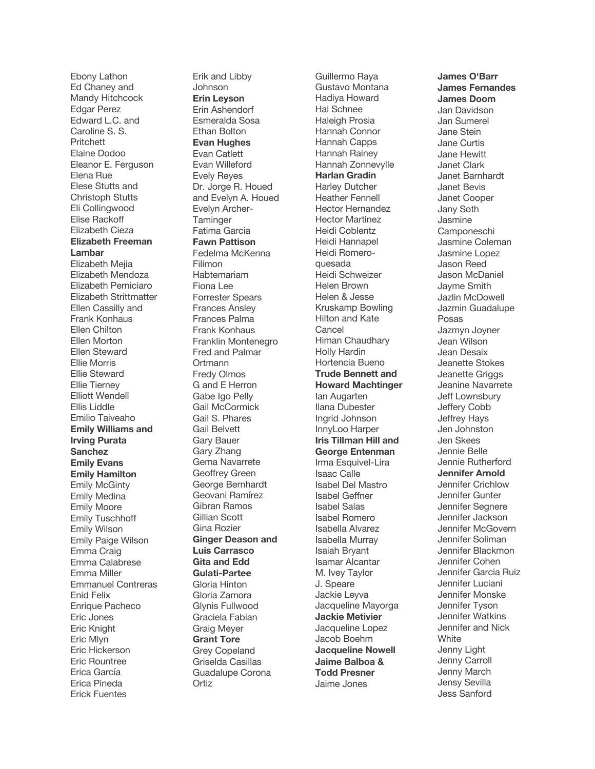Ebony Lathon Ed Chaney and Mandy Hitchcock Edgar Perez Edward L.C. and Caroline S. S. Pritchett Elaine Dodoo Eleanor E. Ferguson Elena Rue Elese Stutts and Christoph Stutts Eli Collingwood Elise Rackoff Elizabeth Cieza **Elizabeth Freeman Lambar** Elizabeth Mejia Elizabeth Mendoza Elizabeth Perniciaro Elizabeth Strittmatter Ellen Cassilly and Frank Konhaus Ellen Chilton Ellen Morton Ellen Steward Ellie Morris Ellie Steward Ellie Tierney Elliott Wendell Ellis Liddle Emilio Taiveaho **Emily Williams and Irving Purata Sanchez Emily Evans Emily Hamilton** Emily McGinty Emily Medina Emily Moore Emily Tuschhoff Emily Wilson Emily Paige Wilson Emma Craig Emma Calabrese Emma Miller Emmanuel Contreras Enid Felix Enrique Pacheco Eric Jones Eric Knight Eric Mlyn Eric Hickerson Eric Rountree Erica García Erica Pineda Erick Fuentes

Erik and Libby Johnson **Erin Leyson** Erin Ashendorf Esmeralda Sosa Ethan Bolton **Evan Hughes** Evan Catlett Evan Willeford Evely Reyes Dr. Jorge R. Houed and Evelyn A. Houed Evelyn Archer - **Taminger** Fatima Garcia **Fawn Pattison** Fedelma McKenna Filimon Habtemariam Fiona Lee Forrester Spears Frances Ansley Frances Palma Frank Konhaus Franklin Montenegro Fred and Palmar **Ortmann** Fredy Olmos G and E Herron Gabe Igo Pelly Gail McCormick Gail S. Phares Gail Belvett Gary Bauer Gary Zhang Gema Navarrete Geoffrey Green George Bernhardt Geovani Ramírez Gibran Ramos Gillian Scott Gina Rozier **Ginger Deason and Luis Carrasco Gita and Edd Gulati -Partee** Gloria Hinton Gloria Zamora Glynis Fullwood Graciela Fabian Graig Meyer **Grant Tore** Grey Copeland Griselda Casillas Guadalupe Corona Ortiz

Guillermo Raya Gustavo Montana Hadiya Howard Hal Schnee Haleigh Prosia Hannah Connor Hannah Capps Hannah Rainey Hannah Zonnevylle **Harlan Gradin** Harley Dutcher Heather Fennell Hector Hernandez Hector Martinez Heidi Coblentz Heidi Hannapel Heidi Romero quesada Heidi Schweizer Helen Brown Helen & Jesse Kruskamp Bowling Hilton and Kate Cancel Himan Chaudhary Holly Hardin Hortencia Bueno **Trude Bennett and Howard Machtinger** Ian Augarten Ilana Dubester Ingrid Johnson InnyLoo Harper **Iris Tillman Hill and George Entenman** Irma Esquivel -Lira Isaac Calle Isabel Del Mastro Isabel Geffner Isabel Salas Isabel Romero Isabella Alvarez Isabella Murray Isaiah Bryant Isamar Alcantar M. Ivey Taylor J. Speare Jackie Leyva Jacqueline Mayorga **Jackie Metivier** Jacqueline Lopez Jacob Boehm **Jacqueline Nowell Jaime Balboa & Todd Presner** Jaime Jones

**James O'Barr James Fernandes James Doom** Jan Davidson Jan Sumerel Jane Stein Jane Curtis Jane Hewitt Janet Clark Janet Barnhardt Janet Bevis Janet Cooper Jany Soth Jasmine Camponeschi Jasmine Coleman Jasmine Lopez Jason Reed Jason McDaniel Jayme Smith Jazlin McDowell Jazmin Guadalupe Posas Jazmyn Joyner Jean Wilson Jean Desaix Jeanette Stokes Jeanette Griggs Jeanine Navarrete Jeff Lownsbury Jeffery Cobb Jeffrey Hays Jen Johnston Jen Skees Jennie Belle Jennie Rutherford **Jennifer Arnold** Jennifer Crichlow Jennifer Gunter Jennifer Segnere Jennifer Jackson Jennifer McGovern Jennifer Soliman Jennifer Blackmon Jennifer Cohen Jennifer Garcia Ruiz Jennifer Luciani Jennifer Monske Jennifer Tyson Jennifer Watkins Jennifer and Nick **White** Jenny Light Jenny Carroll Jenny March Jensy Sevilla Jess Sanford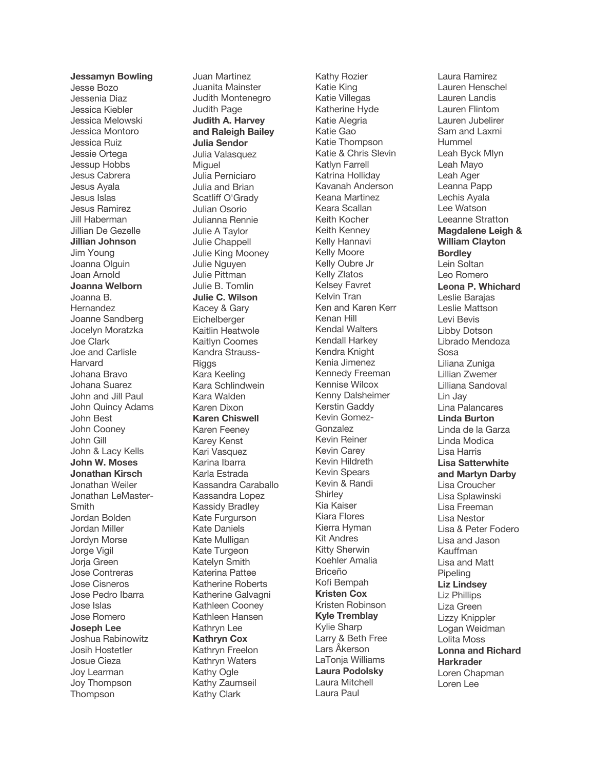**Jessamyn Bowling** Jesse Bozo Jessenia Diaz Jessica Kiebler Jessica Melowski Jessica Montoro Jessica Ruiz Jessie Ortega Jessup Hobbs Jesus Cabrera Jesus Ayala Jesus Islas Jesus Ramirez Jill Haberman Jillian De Gezelle **Jillian Johnson** Jim Young Joanna Olguin Joan Arnold **Joanna Welborn** Joanna B. Hernandez Joanne Sandberg Jocelyn Moratzka Joe Clark Joe and Carlisle Harvard Johana Bravo Johana Suarez John and Jill Paul John Quincy Adams John Best John Cooney John Gill John & Lacy Kells **John W. Moses Jonathan Kirsch** Jonathan Weiler Jonathan LeMaster - **Smith** Jordan Bolden Jordan Miller Jordyn Morse Jorge Vigil Jorja Green Jose Contreras Jose Cisneros Jose Pedro Ibarra Jose Islas Jose Romero **Joseph Lee** Joshua Rabinowitz Josih Hostetler Josue Cieza Joy Learman Joy Thompson Thompson

Juan Martinez Juanita Mainster Judith Montenegro Judith Page **Judith A. Harvey and Raleigh Bailey Julia Sendor** Julia Valasquez **Miguel** Julia Perniciaro Julia and Brian Scatliff O'Grady Julian Osorio Julianna Rennie Julie A Taylor Julie Chappell Julie King Mooney Julie Nguyen Julie Pittman Julie B. Tomlin **Julie C. Wilson** Kacey & Gary Eichelberger Kaitlin Heatwole Kaitlyn Coomes Kandra Strauss - Riggs Kara Keeling Kara Schlindwein Kara Walden Karen Dixon **Karen Chiswell** Karen Feeney Karey Kenst Kari Vasquez Karina Ibarra Karla Estrada Kassandra Caraballo Kassandra Lopez Kassidy Bradley Kate Furgurson Kate Daniels Kate Mulligan Kate Turgeon Katelyn Smith Katerina Pattee Katherine Roberts Katherine Galvagni Kathleen Cooney Kathleen Hansen Kathryn Lee **Kathryn Cox** Kathryn Freelon Kathryn Waters Kathy Ogle Kathy Zaumseil Kathy Clark

Kathy Rozier Katie King Katie Villegas Katherine Hyde Katie Alegria Katie Gao Katie Thompson Katie & Chris Slevin Katlyn Farrell Katrina Holliday Kavanah Anderson Keana Martinez Keara Scallan Keith Kocher Keith Kenney Kelly Hannavi Kelly Moore Kelly Oubre Jr Kelly Zlatos Kelsey Favret Kelvin Tran Ken and Karen Kerr Kenan Hill Kendal Walters Kendall Harkey Kendra Knight Kenia Jimenez Kennedy Freeman Kennise Wilcox Kenny Dalsheimer Kerstin Gaddy Kevin Gomez - Gonzalez Kevin Reiner Kevin Carey Kevin Hildreth Kevin Spears Kevin & Randi **Shirley** Kia Kaiser Kiara Flores Kierra Hyman Kit Andres Kitty Sherwin Koehler Amalia Briceño Kofi Bempah **Kristen Cox** Kristen Robinson **Kyle Tremblay** Kylie Sharp Larry & Beth Free Lars Åkerson LaTonja Williams **Laura Podolsky** Laura Mitchell Laura Paul

Laura Ramirez Lauren Henschel Lauren Landis Lauren Flintom Lauren Jubelirer Sam and Laxmi Hummel Leah Byck Mlyn Leah Mayo Leah Ager Leanna Papp Lechis Ayala Lee Watson Leeanne Stratton **Magdalene Leigh & William Clayton Bordley** Lein Soltan Leo Romero **Leona P. Whichard** Leslie Barajas Leslie Mattson Levi Bevis Libby Dotson Librado Mendoza Sosa Liliana Zuniga Lillian Zwemer Lilliana Sandoval Lin Jay Lina Palancares **Linda Burton** Linda de la Garza Linda Modica Lisa Harris **Lisa Satterwhite and Martyn Darby** Lisa Croucher Lisa Splawinski Lisa Freeman Lisa Nestor Lisa & Peter Fodero Lisa and Jason Kauffman Lisa and Matt **Pipeling Liz Lindsey** Liz Phillips Liza Green Lizzy Knippler Logan Weidman Lolita Moss **Lonna and Richard Harkrader** Loren Chapman Loren Lee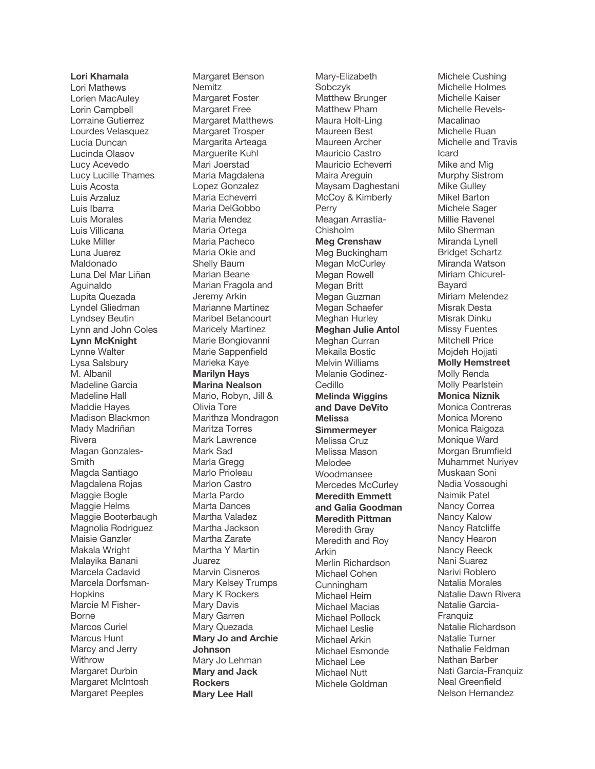**Lori Khamala** Lori Mathews Lorien MacAuley Lorin Campbell Lorraine Gutierrez Lourdes Velasquez Lucia Duncan Lucinda Olasov Lucy Acevedo Lucy Lucille Thames Luis Acosta Luis Arzaluz Luis Ibarra Luis Morales Luis Villicana Luke Miller Luna Juarez Maldonado Luna Del Mar Liñan Aguinaldo Lupita Quezada Lyndel Gliedman Lyndsey Beutin Lynn and John Coles **Lynn McKnight** Lynne Walter Lysa Salsbury M. Albanil Madeline Garcia Madeline Hall Maddie Hayes Madison Blackmon Mady Madriñan Rivera Magan Gonzales - Smith Magda Santiago Magdalena Rojas Maggie Bogle Maggie Helms Maggie Booterbaugh Magnolia Rodriguez Maisie Ganzler Makala Wright Malayika Banani Marcela Cadavid Marcela Dorfsman - **Hopkins** Marcie M Fisher - Borne Marcos Curiel Marcus Hunt Marcy and Jerry Withrow Margaret Durbin Margaret McIntosh Margaret Peeples

Margaret Benson Nemitz Margaret Foster Margaret Free Margaret Matthews Margaret Trosper Margarita Arteaga Marguerite Kuhl Mari Joerstad Maria Magdalena Lopez Gonzalez Maria Echeverri Maria DelGobbo Maria Mendez Maria Ortega Maria Pacheco Maria Okie and Shelly Baum Marian Beane Marian Fragola and Jeremy Arkin Marianne Martinez Maribel Betancourt Maricely Martinez Marie Bongiovanni Marie Sappenfield Marieka Kaye **Marilyn Hays Marina Nealson** Mario, Robyn, Jill & Olivia Tore Marithza Mondragon Maritza Torres Mark Lawrence Mark Sad Marla Gregg Marlo Prioleau Marlon Castro Marta Pardo Marta Dances Martha Valadez Martha Jackson Martha Zarate Martha Y Martin Juarez Marvin Cisneros Mary Kelsey Trumps Mary K Rockers Mary Davis Mary Garren Mary Quezada **Mary Jo and Archie Johnson** Mary Jo Lehman **Mary and Jack Rockers Mary Lee Hall**

Mary -Elizabeth Sobczyk Matthew Brunger Matthew Pham Maura Holt -Ling Maureen Best Maureen Archer Mauricio Castro Mauricio Echeverri Maira Areguin Maysam Daghestani McCoy & Kimberly Perry Meagan Arrastia - Chisholm **Meg Crenshaw** Meg Buckingham Megan McCurley Megan Rowell Megan Britt Megan Guzman Megan Schaefer Meghan Hurley **Meghan Julie Antol** Meghan Curran Mekaila Bostic Melvin Williams Melanie Godinez - **Cedillo Melinda Wiggins and Dave DeVito Melissa Simmermeyer** Melissa Cruz Melissa Mason Melodee Woodmansee Mercedes McCurley **Meredith Emmett and Galia Goodman Meredith Pittman** Meredith Gray Meredith and Roy Arkin Merlin Richardson Michael Cohen Cunningham Michael Heim Michael Macias Michael Pollock Michael Leslie Michael Arkin Michael Esmonde Michael Lee Michael Nutt Michele Goldman

Michele Cushing Michelle Holmes Michelle Kaiser Michelle Revels - Macalinao Michelle Ruan Michelle and Travis Icard Mike and Mig Murphy Sistrom Mike Gulley Mikel Barton Michele Sager Millie Ravenel Milo Sherman Miranda Lynell Bridget Schartz Miranda Watson Miriam Chicurel - Bayard Miriam Melendez Misrak Desta Misrak Dinku Missy Fuentes Mitchell Price Mojdeh Hojjati **Molly Hemstreet** Molly Renda Molly Pearlstein **Monica Niznik** Monica Contreras Monica Moreno Monica Raigoza Monique Ward Morgan Brumfield Muhammet Nuriyev Muskaan Soni Nadia Vossoughi Naimik Patel Nancy Correa Nancy Kalow Nancy Ratcliffe Nancy Hearon Nancy Reeck Nani Suarez Narivi Roblero Natalia Morales Natalie Dawn Rivera Natalie Garcia - **Franquiz** Natalie Richardson Natalie Turner Nathalie Feldman Nathan Barber Nati Garcia -Franquiz Neal Greenfield Nelson Hernandez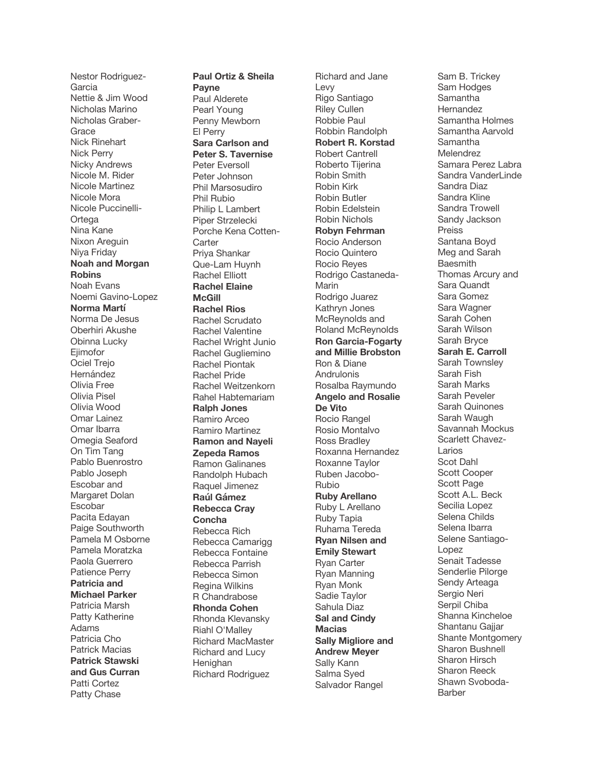Nestor Rodriguez - Garcia Nettie & Jim Wood Nicholas Marino Nicholas Graber - **Grace** Nick Rinehart Nick Perry Nicky Andrews Nicole M. Rider Nicole Martinez Nicole Mora Nicole Puccinelli - Ortega Nina Kane Nixon Areguin Niya Friday **Noah and Morgan Robins** Noah Evans Noemi Gavino -Lopez **Norma Martí** Norma De Jesus Oberhiri Akushe Obinna Lucky Ejimofor Ociel Trejo Hernández Olivia Free Olivia Pisel Olivia Wood Omar Lainez Omar Ibarra Omegia Seaford On Tim Tang Pablo Buenrostro Pablo Joseph Escobar and Margaret Dolan Escobar Pacita Edayan Paige Southworth Pamela M Osborne Pamela Moratzka Paola Guerrero Patience Perry **Patricia and Michael Parker** Patricia Marsh Patty Katherine Adams Patricia Cho Patrick Macias **Patrick Stawski and Gus Curran** Patti Cortez Patty Chase

**Paul Ortiz & Sheila Payne** Paul Alderete Pearl Young Penny Mewborn El Perry **Sara Carlson and Peter S. Tavernise**  Peter Eversoll Peter Johnson Phil Marsosudiro Phil Rubio Philip L Lambert Piper Strzelecki Porche Kena Cotten - **Carter** Priya Shankar Que -Lam Huynh Rachel Elliott **Rachel Elaine McGill Rachel Rios** Rachel Scrudato Rachel Valentine Rachel Wright Junio Rachel Gugliemino Rachel Piontak Rachel Pride Rachel Weitzenkorn Rahel Habtemariam **Ralph Jones** Ramiro Arceo Ramiro Martinez **Ramon and Nayeli Zepeda Ramos** Ramon Galinanes Randolph Hubach Raquel Jimenez **Raúl Gámez Rebecca Cray Concha** Rebecca Rich Rebecca Camarigg Rebecca Fontaine Rebecca Parrish Rebecca Simon Regina Wilkins R Chandrabose **Rhonda Cohen** Rhonda Klevansky Riahl O'Malley Richard MacMaster Richard and Lucy Henighan Richard Rodriguez

Richard and Jane Levy Rigo Santiago Riley Cullen Robbie Paul Robbin Randolph **Robert R. Korstad** Robert Cantrell Roberto Tijerina Robin Smith Robin Kirk Robin Butler Robin Edelstein Robin Nichols **Robyn Fehrman** Rocio Anderson Rocio Quintero Rocio Reyes Rodrigo Castaneda - Marin Rodrigo Juarez Kathryn Jones McReynolds and Roland McReynolds **Ron Garcia -Fogarty and Millie Brobston** Ron & Diane Andrulonis Rosalba Raymundo **Angelo and Rosalie De Vito** Rocio Rangel Rosio Montalvo Ross Bradley Roxanna Hernandez Roxanne Taylor Ruben Jacobo - Rubio **Ruby Arellano** Ruby L Arellano Ruby Tapia Ruhama Tereda **Ryan Nilsen and Emily Stewart** Ryan Carter Ryan Manning Ryan Monk Sadie Taylor Sahula Diaz **Sal and Cindy Macias Sally Migliore and Andrew Meyer** Sally Kann Salma Syed Salvador Rangel

Sam B. Trickey Sam Hodges **Samantha** Hernandez Samantha Holmes Samantha Aarvold Samantha Melendrez Samara Perez Labra Sandra VanderLinde Sandra Diaz Sandra Kline Sandra Trowell Sandy Jackson **Preiss** Santana Boyd Meg and Sarah **Baesmith** Thomas Arcury and Sara Quandt Sara Gomez Sara Wagner Sarah Cohen Sarah Wilson Sarah Bryce **Sarah E. Carroll** Sarah Townsley Sarah Fish Sarah Marks Sarah Peveler Sarah Quinones Sarah Waugh Savannah Mockus Scarlett Chavez - Larios Scot Dahl Scott Cooper Scott Page Scott A.L. Beck Secilia Lopez Selena Childs Selena Ibarra Selene Santiago - Lopez Senait Tadesse Senderlie Pilorge Sendy Arteaga Sergio Neri Serpil Chiba Shanna Kincheloe Shantanu Gaijar Shante Montgomery Sharon Bushnell Sharon Hirsch Sharon Reeck Shawn Svoboda - **Barber**